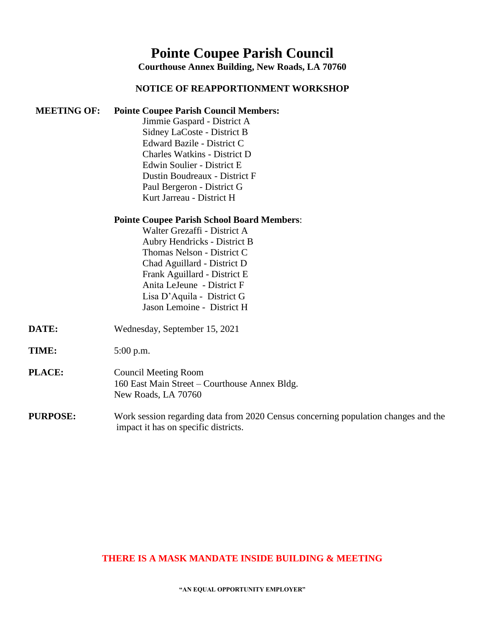## **Pointe Coupee Parish Council**

**Courthouse Annex Building, New Roads, LA 70760**

## **NOTICE OF REAPPORTIONMENT WORKSHOP**

**MEETING OF: Pointe Coupee Parish Council Members:**

|                 | Jimmie Gaspard - District A                                                        |
|-----------------|------------------------------------------------------------------------------------|
|                 | Sidney LaCoste - District B                                                        |
|                 | Edward Bazile - District C                                                         |
|                 | <b>Charles Watkins - District D</b>                                                |
|                 | Edwin Soulier - District E                                                         |
|                 | Dustin Boudreaux - District F                                                      |
|                 | Paul Bergeron - District G                                                         |
|                 | Kurt Jarreau - District H                                                          |
|                 | <b>Pointe Coupee Parish School Board Members:</b>                                  |
|                 | Walter Grezaffi - District A                                                       |
|                 | Aubry Hendricks - District B                                                       |
|                 | Thomas Nelson - District C                                                         |
|                 | Chad Aguillard - District D                                                        |
|                 | Frank Aguillard - District E                                                       |
|                 | Anita LeJeune - District F                                                         |
|                 | Lisa D'Aquila - District G                                                         |
|                 | Jason Lemoine - District H                                                         |
| DATE:           | Wednesday, September 15, 2021                                                      |
| TIME:           | $5:00$ p.m.                                                                        |
| PLACE:          | <b>Council Meeting Room</b>                                                        |
|                 | 160 East Main Street - Courthouse Annex Bldg.                                      |
|                 | New Roads, LA 70760                                                                |
| <b>PURPOSE:</b> | Work session regarding data from 2020 Census concerning population changes and the |
|                 | impact it has on specific districts.                                               |

## **THERE IS A MASK MANDATE INSIDE BUILDING & MEETING**